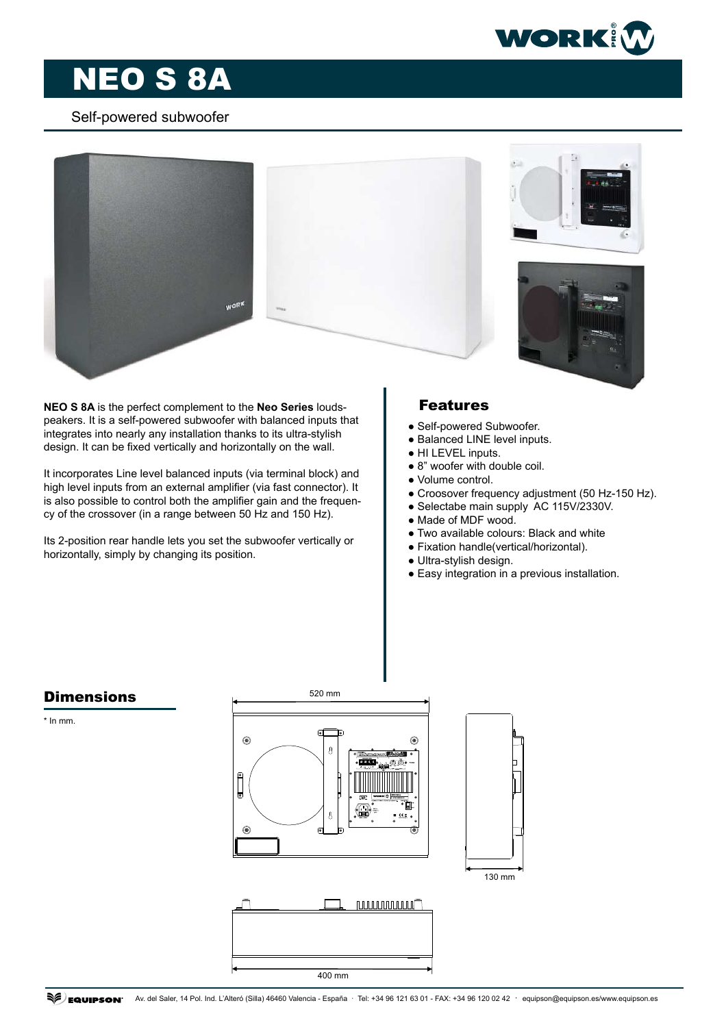

# NEO S 8A

### Self-powered subwoofer



**NEO S 8A** is the perfect complement to the **Neo Series** loudspeakers. It is a self-powered subwoofer with balanced inputs that integrates into nearly any installation thanks to its ultra-stylish design. It can be fixed vertically and horizontally on the wall.

It incorporates Line level balanced inputs (via terminal block) and high level inputs from an external amplifier (via fast connector). It is also possible to control both the amplifier gain and the frequency of the crossover (in a range between 50 Hz and 150 Hz).

Its 2-position rear handle lets you set the subwoofer vertically or horizontally, simply by changing its position.

## Features

- Self-powered Subwoofer.
- Balanced LINE level inputs.
- HI LEVEL inputs.
- 8" woofer with double coil.
- Volume control.
- Croosover frequency adjustment (50 Hz-150 Hz).
- Selectabe main supply AC 115V/2330V.
- Made of MDF wood.
- Two available colours: Black and white
- Fixation handle(vertical/horizontal).
- Ultra-stylish design.
- Easy integration in a previous installation.



**Dimensions** 

\* In mm.